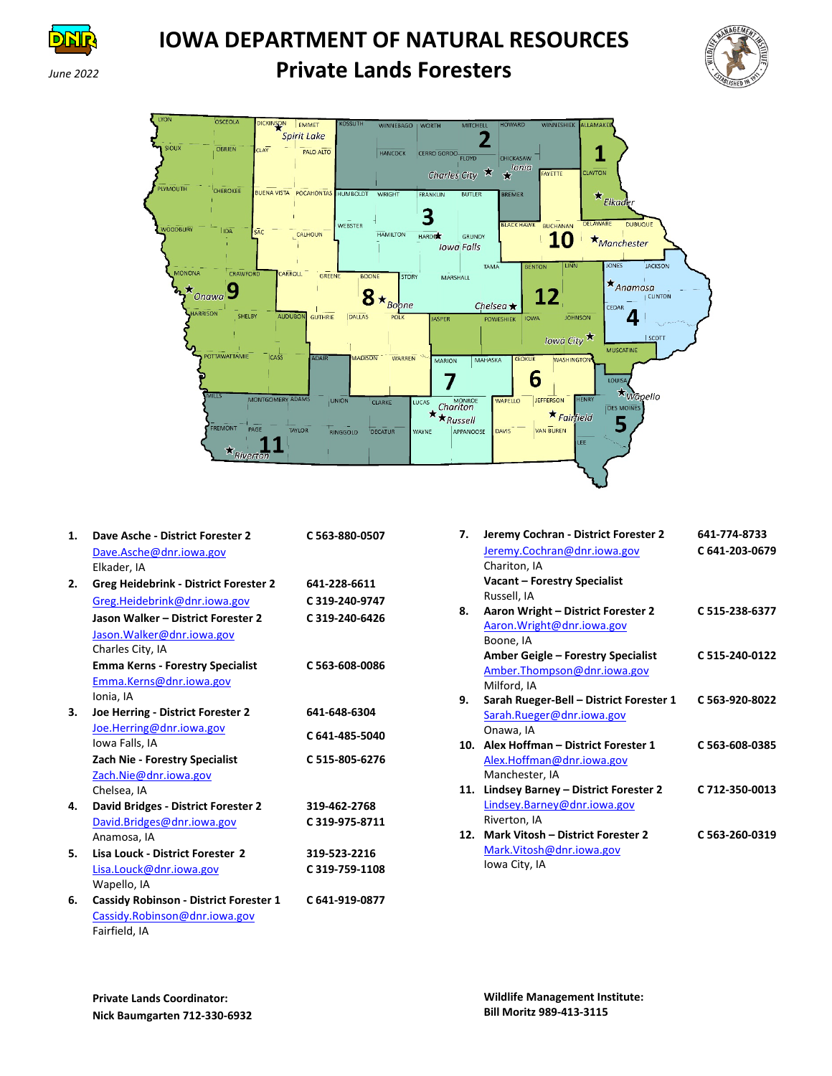

# **IOWA DEPARTMENT OF NATURAL RESOURCES** *June <sup>2022</sup>***Private Lands Foresters**





| 1. | Dave Asche - District Forester 2              | C 563-880-0507 |
|----|-----------------------------------------------|----------------|
|    | Dave.Asche@dnr.iowa.gov                       |                |
|    | Elkader, IA                                   |                |
| 2. | <b>Greg Heidebrink - District Forester 2</b>  | 641-228-6611   |
|    | Greg.Heidebrink@dnr.iowa.gov                  | C 319-240-9747 |
|    | Jason Walker - District Forester 2            | C 319-240-6426 |
|    | Jason. Walker@dnr. jowa.gov                   |                |
|    | Charles City, IA                              |                |
|    | <b>Emma Kerns - Forestry Specialist</b>       | C 563-608-0086 |
|    | Emma.Kerns@dnr.iowa.gov                       |                |
|    | Ionia, IA                                     |                |
| З. | Joe Herring - District Forester 2             | 641-648-6304   |
|    | Joe.Herring@dnr.iowa.gov                      | C 641-485-5040 |
|    | Iowa Falls, IA                                |                |
|    | <b>Zach Nie - Forestry Specialist</b>         | C 515-805-6276 |
|    | Zach.Nie@dnr.iowa.gov                         |                |
|    | Chelsea, IA                                   |                |
| 4. | David Bridges - District Forester 2           | 319-462-2768   |
|    | David.Bridges@dnr.iowa.gov                    | C319-975-8711  |
|    | Anamosa, IA                                   |                |
| 5. | Lisa Louck - District Forester 2              | 319-523-2216   |
|    | Lisa.Louck@dnr.iowa.gov                       | C 319-759-1108 |
|    | Wapello, IA                                   |                |
| 6. | <b>Cassidy Robinson - District Forester 1</b> | C 641-919-0877 |
|    | Cassidy.Robinson@dnr.iowa.gov                 |                |
|    | Fairfield, IA                                 |                |

| 7.  | Jeremy Cochran - District Forester 2    | 641-774-8733   |
|-----|-----------------------------------------|----------------|
|     | Jeremy.Cochran@dnr.iowa.gov             | C 641-203-0679 |
|     | Chariton, IA                            |                |
|     | <b>Vacant - Forestry Specialist</b>     |                |
|     | Russell, IA                             |                |
| 8.  | Aaron Wright - District Forester 2      | C 515-238-6377 |
|     | Aaron. Wright@dnr. iowa.gov             |                |
|     | Boone, IA                               |                |
|     | Amber Geigle – Forestry Specialist      | C 515-240-0122 |
|     | Amber. Thompson@dnr.iowa.gov            |                |
|     | Milford, IA                             |                |
| 9.  | Sarah Rueger-Bell - District Forester 1 | C 563-920-8022 |
|     | Sarah.Rueger@dnr.iowa.gov               |                |
|     | Onawa, IA                               |                |
| 10. | Alex Hoffman - District Forester 1      | C 563-608-0385 |
|     | Alex.Hoffman@dnr.iowa.gov               |                |
|     | Manchester, IA                          |                |
| 11. | Lindsey Barney - District Forester 2    | C 712-350-0013 |
|     | Lindsey.Barney@dnr.iowa.gov             |                |
|     | Riverton, IA                            |                |
| 12. | Mark Vitosh - District Forester 2       | C 563-260-0319 |
|     | Mark. Vitosh@dnr.iowa.gov               |                |
|     | Iowa City, IA                           |                |